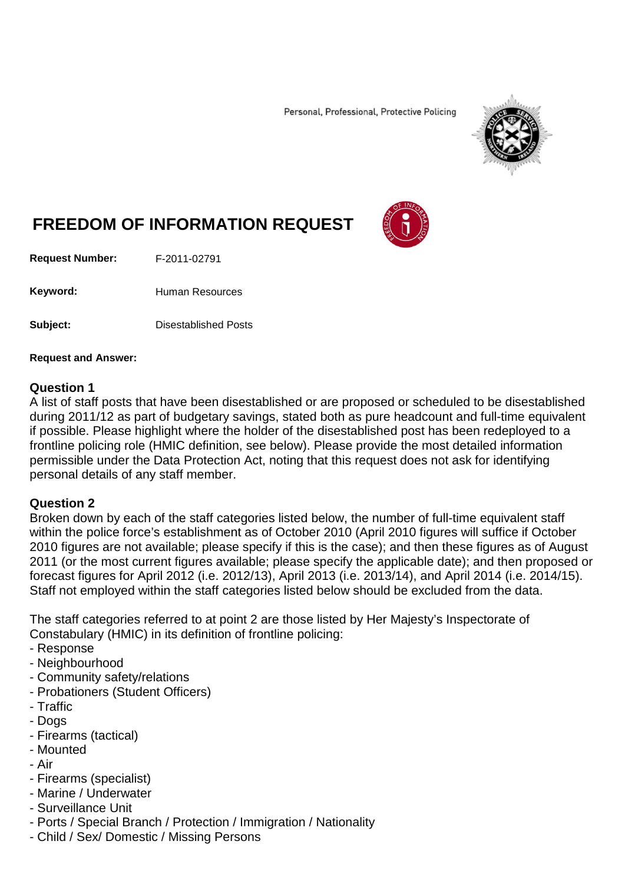Personal, Professional, Protective Policing



# **FREEDOM OF INFORMATION REQUEST**

**Request Number:** F-2011-02791

Keyword: Human Resources

**Subject:** Disestablished Posts

**Request and Answer:**

#### **Question 1**

A list of staff posts that have been disestablished or are proposed or scheduled to be disestablished during 2011/12 as part of budgetary savings, stated both as pure headcount and full-time equivalent if possible. Please highlight where the holder of the disestablished post has been redeployed to a frontline policing role (HMIC definition, see below). Please provide the most detailed information permissible under the Data Protection Act, noting that this request does not ask for identifying personal details of any staff member.

#### **Question 2**

Broken down by each of the staff categories listed below, the number of full-time equivalent staff within the police force's establishment as of October 2010 (April 2010 figures will suffice if October 2010 figures are not available; please specify if this is the case); and then these figures as of August 2011 (or the most current figures available; please specify the applicable date); and then proposed or forecast figures for April 2012 (i.e. 2012/13), April 2013 (i.e. 2013/14), and April 2014 (i.e. 2014/15). Staff not employed within the staff categories listed below should be excluded from the data.

The staff categories referred to at point 2 are those listed by Her Majesty's Inspectorate of Constabulary (HMIC) in its definition of frontline policing:

- Response
- Neighbourhood
- Community safety/relations
- Probationers (Student Officers)
- Traffic
- Dogs
- Firearms (tactical)
- Mounted
- Air
- Firearms (specialist)
- Marine / Underwater
- Surveillance Unit
- Ports / Special Branch / Protection / Immigration / Nationality
- Child / Sex/ Domestic / Missing Persons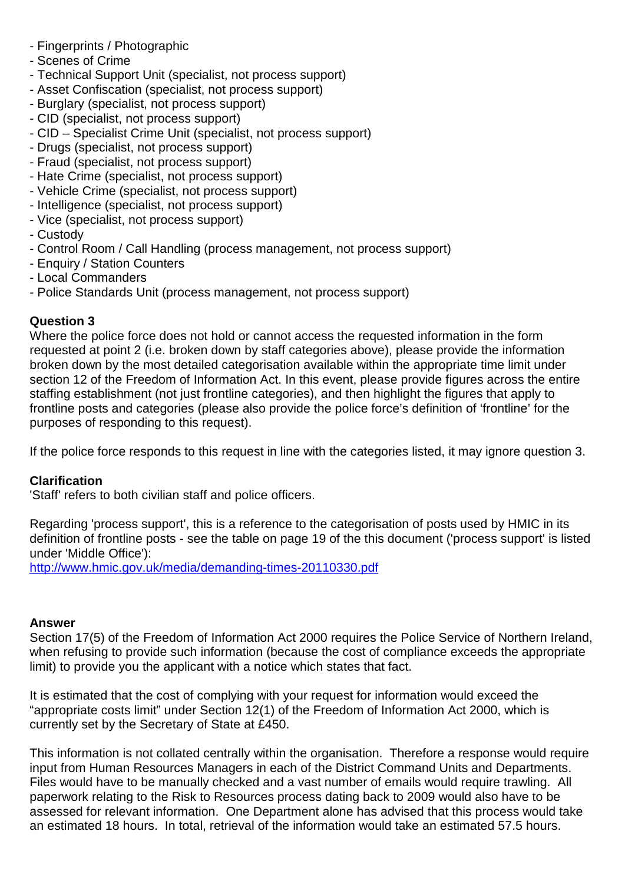- Fingerprints / Photographic
- Scenes of Crime
- Technical Support Unit (specialist, not process support)
- Asset Confiscation (specialist, not process support)
- Burglary (specialist, not process support)
- CID (specialist, not process support)
- CID Specialist Crime Unit (specialist, not process support)
- Drugs (specialist, not process support)
- Fraud (specialist, not process support)
- Hate Crime (specialist, not process support)
- Vehicle Crime (specialist, not process support)
- Intelligence (specialist, not process support)
- Vice (specialist, not process support)
- Custody
- Control Room / Call Handling (process management, not process support)
- Enquiry / Station Counters
- Local Commanders
- Police Standards Unit (process management, not process support)

## **Question 3**

Where the police force does not hold or cannot access the requested information in the form requested at point 2 (i.e. broken down by staff categories above), please provide the information broken down by the most detailed categorisation available within the appropriate time limit under section 12 of the Freedom of Information Act. In this event, please provide figures across the entire staffing establishment (not just frontline categories), and then highlight the figures that apply to frontline posts and categories (please also provide the police force's definition of 'frontline' for the purposes of responding to this request).

If the police force responds to this request in line with the categories listed, it may ignore question 3.

## **Clarification**

'Staff' refers to both civilian staff and police officers.

Regarding 'process support', this is a reference to the categorisation of posts used by HMIC in its definition of frontline posts - see the table on page 19 of the this document ('process support' is listed under 'Middle Office'):

<http://www.hmic.gov.uk/media/demanding-times-20110330.pdf>

### **Answer**

Section 17(5) of the Freedom of Information Act 2000 requires the Police Service of Northern Ireland, when refusing to provide such information (because the cost of compliance exceeds the appropriate limit) to provide you the applicant with a notice which states that fact.

It is estimated that the cost of complying with your request for information would exceed the "appropriate costs limit" under Section 12(1) of the Freedom of Information Act 2000, which is currently set by the Secretary of State at £450.

This information is not collated centrally within the organisation. Therefore a response would require input from Human Resources Managers in each of the District Command Units and Departments. Files would have to be manually checked and a vast number of emails would require trawling. All paperwork relating to the Risk to Resources process dating back to 2009 would also have to be assessed for relevant information. One Department alone has advised that this process would take an estimated 18 hours. In total, retrieval of the information would take an estimated 57.5 hours.